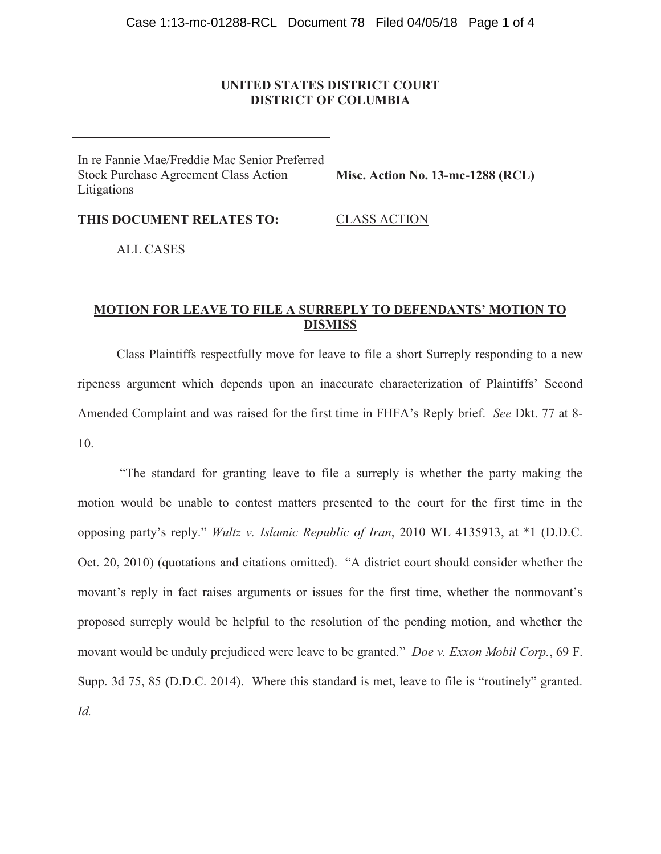## **UNITED STATES DISTRICT COURT DISTRICT OF COLUMBIA**

In re Fannie Mae/Freddie Mac Senior Preferred Stock Purchase Agreement Class Action Litigations

**Misc. Action No. 13-mc-1288 (RCL)** 

**THIS DOCUMENT RELATES TO:** 

CLASS ACTION

ALL CASES

# **MOTION FOR LEAVE TO FILE A SURREPLY TO DEFENDANTS' MOTION TO DISMISS**

 Class Plaintiffs respectfully move for leave to file a short Surreply responding to a new ripeness argument which depends upon an inaccurate characterization of Plaintiffs' Second Amended Complaint and was raised for the first time in FHFA's Reply brief. *See* Dkt. 77 at 8- 10.

"The standard for granting leave to file a surreply is whether the party making the motion would be unable to contest matters presented to the court for the first time in the opposing party's reply." *Wultz v. Islamic Republic of Iran*, 2010 WL 4135913, at \*1 (D.D.C. Oct. 20, 2010) (quotations and citations omitted). "A district court should consider whether the movant's reply in fact raises arguments or issues for the first time, whether the nonmovant's proposed surreply would be helpful to the resolution of the pending motion, and whether the movant would be unduly prejudiced were leave to be granted." *Doe v. Exxon Mobil Corp.*, 69 F. Supp. 3d 75, 85 (D.D.C. 2014). Where this standard is met, leave to file is "routinely" granted. *Id.*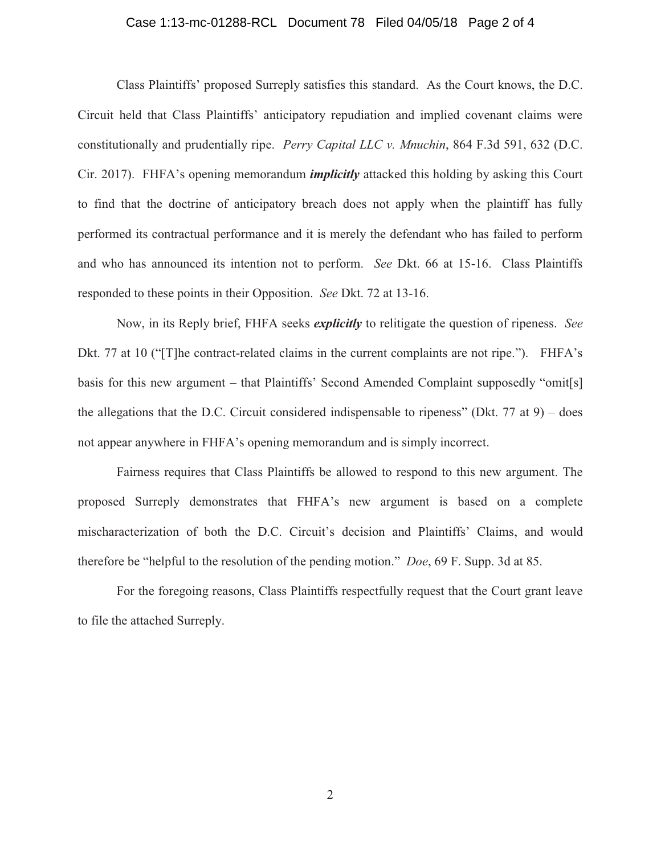## Case 1:13-mc-01288-RCL Document 78 Filed 04/05/18 Page 2 of 4

Class Plaintiffs' proposed Surreply satisfies this standard. As the Court knows, the D.C. Circuit held that Class Plaintiffs' anticipatory repudiation and implied covenant claims were constitutionally and prudentially ripe. *Perry Capital LLC v. Mnuchin*, 864 F.3d 591, 632 (D.C. Cir. 2017). FHFA's opening memorandum *implicitly* attacked this holding by asking this Court to find that the doctrine of anticipatory breach does not apply when the plaintiff has fully performed its contractual performance and it is merely the defendant who has failed to perform and who has announced its intention not to perform. *See* Dkt. 66 at 15-16. Class Plaintiffs responded to these points in their Opposition. *See* Dkt. 72 at 13-16.

Now, in its Reply brief, FHFA seeks *explicitly* to relitigate the question of ripeness. *See*  Dkt. 77 at 10 ("[T]he contract-related claims in the current complaints are not ripe."). FHFA's basis for this new argument – that Plaintiffs' Second Amended Complaint supposedly "omit[s] the allegations that the D.C. Circuit considered indispensable to ripeness" (Dkt. 77 at  $9$ ) – does not appear anywhere in FHFA's opening memorandum and is simply incorrect.

Fairness requires that Class Plaintiffs be allowed to respond to this new argument. The proposed Surreply demonstrates that FHFA's new argument is based on a complete mischaracterization of both the D.C. Circuit's decision and Plaintiffs' Claims, and would therefore be "helpful to the resolution of the pending motion." *Doe*, 69 F. Supp. 3d at 85.

For the foregoing reasons, Class Plaintiffs respectfully request that the Court grant leave to file the attached Surreply.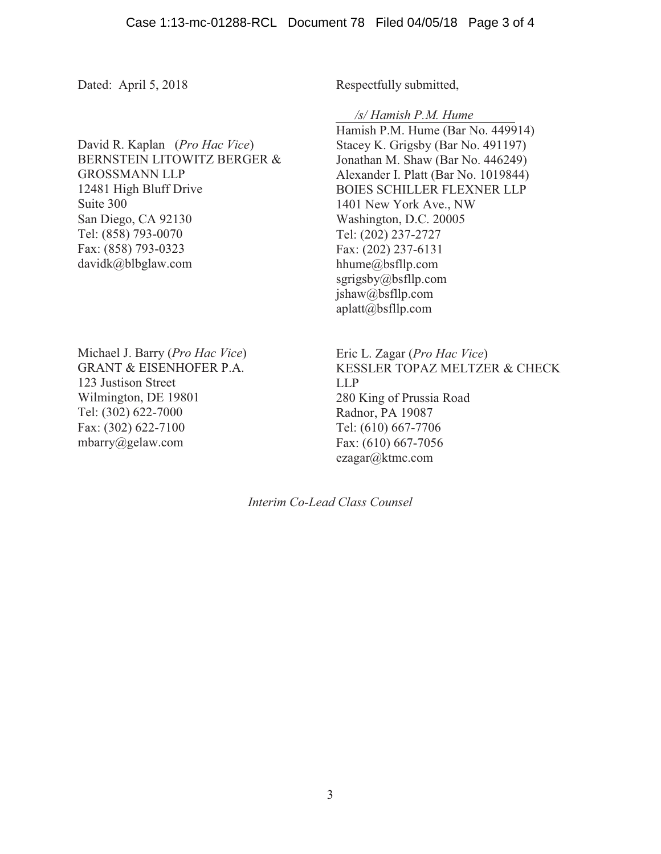Dated: April 5, 2018

David R. Kaplan (*Pro Hac Vice*) BERNSTEIN LITOWITZ BERGER & GROSSMANN LLP 12481 High Bluff Drive Suite 300 San Diego, CA 92130 Tel: (858) 793-0070 Fax: (858) 793-0323 davidk@blbglaw.com

Michael J. Barry (*Pro Hac Vice*) GRANT & EISENHOFER P.A. 123 Justison Street Wilmington, DE 19801 Tel: (302) 622-7000 Fax: (302) 622-7100 mbarry@gelaw.com

Respectfully submitted,

*/s/ Hamish P.M. Hume* 

Hamish P.M. Hume (Bar No. 449914) Stacey K. Grigsby (Bar No. 491197) Jonathan M. Shaw (Bar No. 446249) Alexander I. Platt (Bar No. 1019844) BOIES SCHILLER FLEXNER LLP 1401 New York Ave., NW Washington, D.C. 20005 Tel: (202) 237-2727 Fax: (202) 237-6131 hhume@bsfllp.com sgrigsby@bsfllp.com jshaw@bsfllp.com aplatt@bsfllp.com

Eric L. Zagar (*Pro Hac Vice*) KESSLER TOPAZ MELTZER & CHECK LLP 280 King of Prussia Road Radnor, PA 19087 Tel: (610) 667-7706 Fax: (610) 667-7056 ezagar@ktmc.com

*Interim Co-Lead Class Counsel*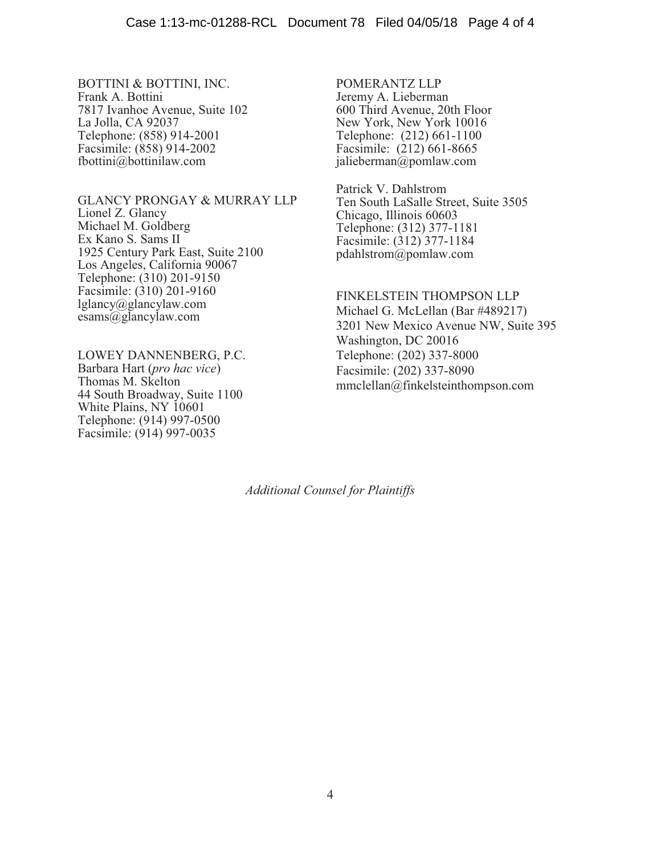BOTTINI & BOTTINI, INC. Frank A. Bottini 7817 Ivanhoe Avenue, Suite 102 La Jolla, CA 92037 Telephone: (858) 914-2001 Facsimile: (858) 914-2002 fbottini@bottinilaw.com

GLANCY PRONGAY & MURRAY LLP Lionel Z. Glancy Michael M. Goldberg Ex Kano S. Sams II 1925 Century Park East, Suite 2100 Los Angeles, California 90067 Telephone: (310) 201-9150 Facsimile: (310) 201-9160 lglancy@glancylaw.com esams@glancylaw.com

LOWEY DANNENBERG, P.C. Barbara Hart (*pro hac vice*) Thomas M. Skelton 44 South Broadway, Suite 1100 White Plains, NY 10601 Telephone: (914) 997-0500 Facsimile: (914) 997-0035

POMERANTZ LLP Jeremy A. Lieberman 600 Third Avenue, 20th Floor New York, New York 10016 Telephone: (212) 661-1100 Facsimile: (212) 661-8665 jalieberman@pomlaw.com

Patrick V. Dahlstrom Ten South LaSalle Street, Suite 3505 Chicago, Illinois 60603 Telephone: (312) 377-1181 Facsimile: (312) 377-1184 pdahlstrom@pomlaw.com

FINKELSTEIN THOMPSON LLP Michael G. McLellan (Bar #489217) 3201 New Mexico Avenue NW, Suite 395 Washington, DC 20016 Telephone: (202) 337-8000 Facsimile: (202) 337-8090 mmclellan@finkelsteinthompson.com

*Additional Counsel for Plaintiffs*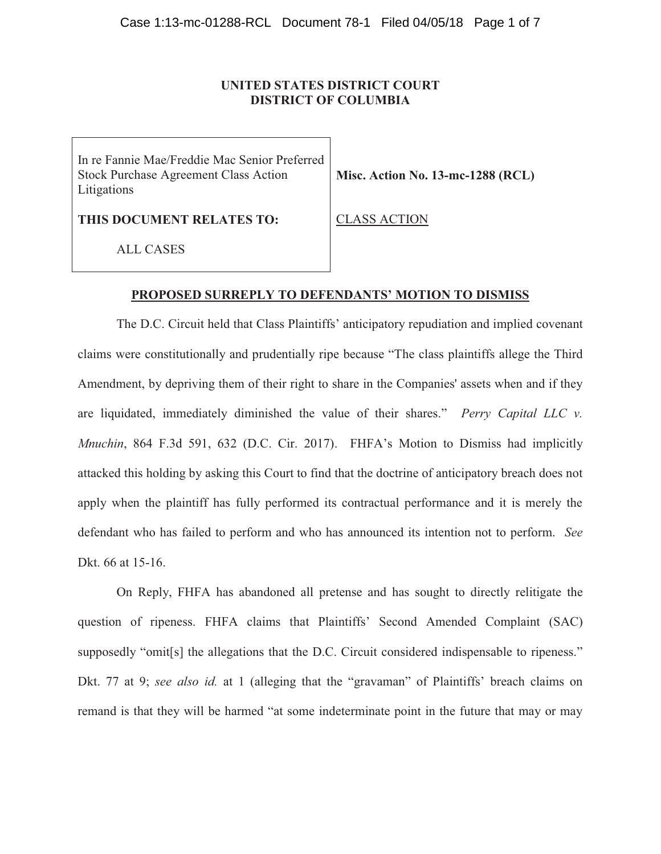# **UNITED STATES DISTRICT COURT DISTRICT OF COLUMBIA**

In re Fannie Mae/Freddie Mac Senior Preferred Stock Purchase Agreement Class Action Litigations

**Misc. Action No. 13-mc-1288 (RCL)** 

**THIS DOCUMENT RELATES TO:** 

ALL CASES

CLASS ACTION

## **PROPOSED SURREPLY TO DEFENDANTS' MOTION TO DISMISS**

The D.C. Circuit held that Class Plaintiffs' anticipatory repudiation and implied covenant claims were constitutionally and prudentially ripe because "The class plaintiffs allege the Third Amendment, by depriving them of their right to share in the Companies' assets when and if they are liquidated, immediately diminished the value of their shares." *Perry Capital LLC v. Mnuchin*, 864 F.3d 591, 632 (D.C. Cir. 2017). FHFA's Motion to Dismiss had implicitly attacked this holding by asking this Court to find that the doctrine of anticipatory breach does not apply when the plaintiff has fully performed its contractual performance and it is merely the defendant who has failed to perform and who has announced its intention not to perform. *See*  Dkt. 66 at 15-16.

On Reply, FHFA has abandoned all pretense and has sought to directly relitigate the question of ripeness. FHFA claims that Plaintiffs' Second Amended Complaint (SAC) supposedly "omit[s] the allegations that the D.C. Circuit considered indispensable to ripeness." Dkt. 77 at 9; *see also id.* at 1 (alleging that the "gravaman" of Plaintiffs' breach claims on remand is that they will be harmed "at some indeterminate point in the future that may or may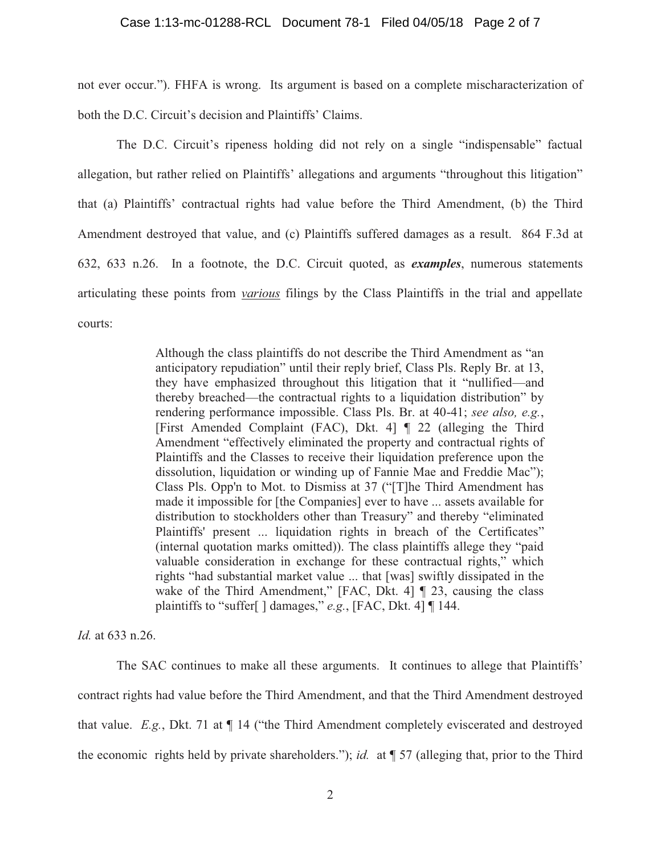not ever occur."). FHFA is wrong. Its argument is based on a complete mischaracterization of both the D.C. Circuit's decision and Plaintiffs' Claims.

The D.C. Circuit's ripeness holding did not rely on a single "indispensable" factual allegation, but rather relied on Plaintiffs' allegations and arguments "throughout this litigation" that (a) Plaintiffs' contractual rights had value before the Third Amendment, (b) the Third Amendment destroyed that value, and (c) Plaintiffs suffered damages as a result. 864 F.3d at 632, 633 n.26. In a footnote, the D.C. Circuit quoted, as *examples*, numerous statements articulating these points from *various* filings by the Class Plaintiffs in the trial and appellate courts:

> Although the class plaintiffs do not describe the Third Amendment as "an anticipatory repudiation" until their reply brief, Class Pls. Reply Br. at 13, they have emphasized throughout this litigation that it "nullified—and thereby breached—the contractual rights to a liquidation distribution" by rendering performance impossible. Class Pls. Br. at 40-41; *see also, e.g.*, [First Amended Complaint (FAC), Dkt. 4] ¶ 22 (alleging the Third Amendment "effectively eliminated the property and contractual rights of Plaintiffs and the Classes to receive their liquidation preference upon the dissolution, liquidation or winding up of Fannie Mae and Freddie Mac"); Class Pls. Opp'n to Mot. to Dismiss at 37 ("[T]he Third Amendment has made it impossible for [the Companies] ever to have ... assets available for distribution to stockholders other than Treasury" and thereby "eliminated Plaintiffs' present ... liquidation rights in breach of the Certificates" (internal quotation marks omitted)). The class plaintiffs allege they "paid valuable consideration in exchange for these contractual rights," which rights "had substantial market value ... that [was] swiftly dissipated in the wake of the Third Amendment," [FAC, Dkt. 4]  $\parallel$  23, causing the class plaintiffs to "suffer[ ] damages," *e.g.*, [FAC, Dkt. 4] ¶ 144.

*Id.* at 633 n.26.

The SAC continues to make all these arguments. It continues to allege that Plaintiffs' contract rights had value before the Third Amendment, and that the Third Amendment destroyed that value. *E.g.*, Dkt. 71 at ¶ 14 ("the Third Amendment completely eviscerated and destroyed the economic rights held by private shareholders."); *id.* at ¶ 57 (alleging that, prior to the Third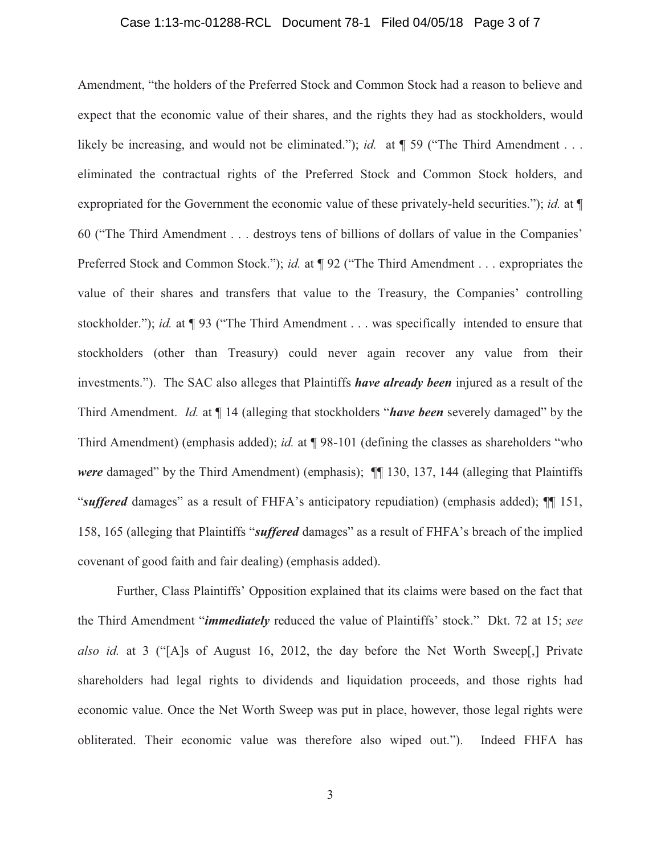## Case 1:13-mc-01288-RCL Document 78-1 Filed 04/05/18 Page 3 of 7

Amendment, "the holders of the Preferred Stock and Common Stock had a reason to believe and expect that the economic value of their shares, and the rights they had as stockholders, would likely be increasing, and would not be eliminated."); *id.* at  $\P$  59 ("The Third Amendment . . . eliminated the contractual rights of the Preferred Stock and Common Stock holders, and expropriated for the Government the economic value of these privately-held securities."); *id.* at ¶ 60 ("The Third Amendment . . . destroys tens of billions of dollars of value in the Companies' Preferred Stock and Common Stock."); *id.* at ¶ 92 ("The Third Amendment . . . expropriates the value of their shares and transfers that value to the Treasury, the Companies' controlling stockholder."); *id.* at ¶ 93 ("The Third Amendment . . . was specifically intended to ensure that stockholders (other than Treasury) could never again recover any value from their investments."). The SAC also alleges that Plaintiffs *have already been* injured as a result of the Third Amendment. *Id.* at ¶ 14 (alleging that stockholders "*have been* severely damaged" by the Third Amendment) (emphasis added); *id.* at ¶ 98-101 (defining the classes as shareholders "who *were* damaged" by the Third Amendment) (emphasis); **[1]** 130, 137, 144 (alleging that Plaintiffs "*suffered* damages" as a result of FHFA's anticipatory repudiation) (emphasis added); ¶¶ 151, 158, 165 (alleging that Plaintiffs "*suffered* damages" as a result of FHFA's breach of the implied covenant of good faith and fair dealing) (emphasis added).

Further, Class Plaintiffs' Opposition explained that its claims were based on the fact that the Third Amendment "*immediately* reduced the value of Plaintiffs' stock." Dkt. 72 at 15; *see also id.* at 3 ("[A]s of August 16, 2012, the day before the Net Worth Sweep[,] Private shareholders had legal rights to dividends and liquidation proceeds, and those rights had economic value. Once the Net Worth Sweep was put in place, however, those legal rights were obliterated. Their economic value was therefore also wiped out."). Indeed FHFA has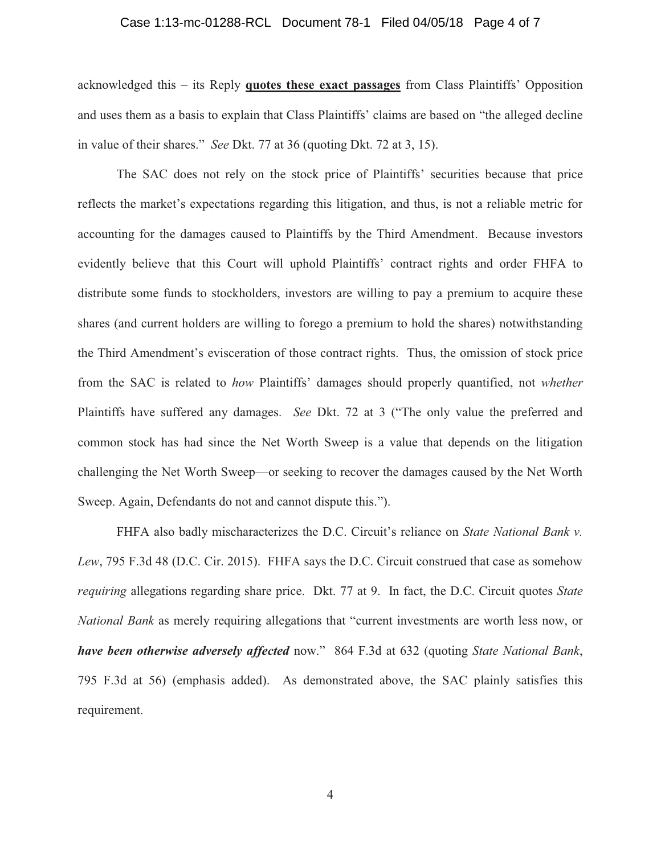#### Case 1:13-mc-01288-RCL Document 78-1 Filed 04/05/18 Page 4 of 7

acknowledged this – its Reply **quotes these exact passages** from Class Plaintiffs' Opposition and uses them as a basis to explain that Class Plaintiffs' claims are based on "the alleged decline in value of their shares." *See* Dkt. 77 at 36 (quoting Dkt. 72 at 3, 15).

The SAC does not rely on the stock price of Plaintiffs' securities because that price reflects the market's expectations regarding this litigation, and thus, is not a reliable metric for accounting for the damages caused to Plaintiffs by the Third Amendment. Because investors evidently believe that this Court will uphold Plaintiffs' contract rights and order FHFA to distribute some funds to stockholders, investors are willing to pay a premium to acquire these shares (and current holders are willing to forego a premium to hold the shares) notwithstanding the Third Amendment's evisceration of those contract rights. Thus, the omission of stock price from the SAC is related to *how* Plaintiffs' damages should properly quantified, not *whether*  Plaintiffs have suffered any damages. *See* Dkt. 72 at 3 ("The only value the preferred and common stock has had since the Net Worth Sweep is a value that depends on the litigation challenging the Net Worth Sweep—or seeking to recover the damages caused by the Net Worth Sweep. Again, Defendants do not and cannot dispute this.").

FHFA also badly mischaracterizes the D.C. Circuit's reliance on *State National Bank v. Lew*, 795 F.3d 48 (D.C. Cir. 2015). FHFA says the D.C. Circuit construed that case as somehow *requiring* allegations regarding share price. Dkt. 77 at 9. In fact, the D.C. Circuit quotes *State National Bank* as merely requiring allegations that "current investments are worth less now, or *have been otherwise adversely affected* now." 864 F.3d at 632 (quoting *State National Bank*, 795 F.3d at 56) (emphasis added). As demonstrated above, the SAC plainly satisfies this requirement.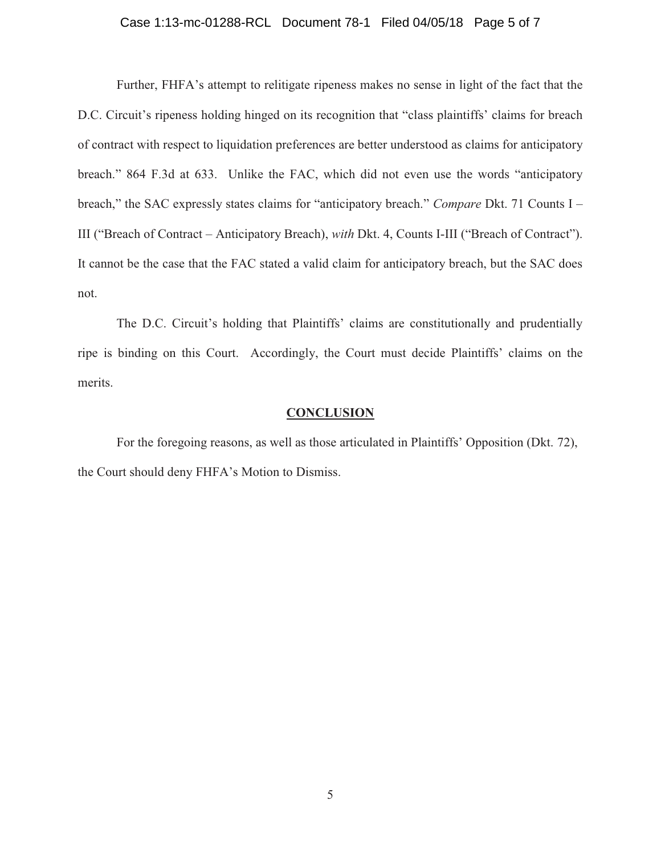## Case 1:13-mc-01288-RCL Document 78-1 Filed 04/05/18 Page 5 of 7

Further, FHFA's attempt to relitigate ripeness makes no sense in light of the fact that the D.C. Circuit's ripeness holding hinged on its recognition that "class plaintiffs' claims for breach of contract with respect to liquidation preferences are better understood as claims for anticipatory breach." 864 F.3d at 633. Unlike the FAC, which did not even use the words "anticipatory breach," the SAC expressly states claims for "anticipatory breach." *Compare* Dkt. 71 Counts I – III ("Breach of Contract – Anticipatory Breach), *with* Dkt. 4, Counts I-III ("Breach of Contract"). It cannot be the case that the FAC stated a valid claim for anticipatory breach, but the SAC does not.

The D.C. Circuit's holding that Plaintiffs' claims are constitutionally and prudentially ripe is binding on this Court. Accordingly, the Court must decide Plaintiffs' claims on the merits.

#### **CONCLUSION**

For the foregoing reasons, as well as those articulated in Plaintiffs' Opposition (Dkt. 72), the Court should deny FHFA's Motion to Dismiss.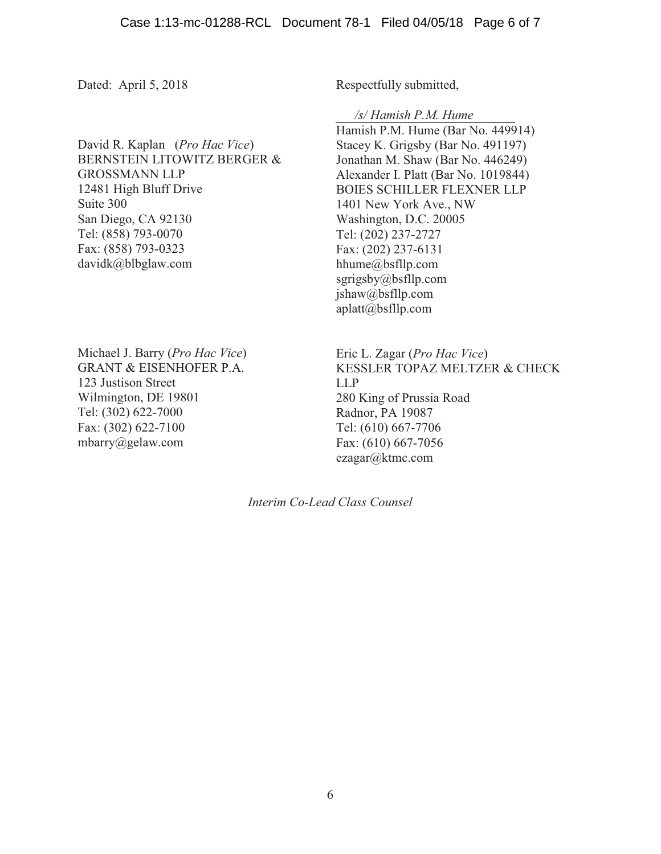Dated: April 5, 2018

David R. Kaplan (*Pro Hac Vice*) BERNSTEIN LITOWITZ BERGER & GROSSMANN LLP 12481 High Bluff Drive Suite 300 San Diego, CA 92130 Tel: (858) 793-0070 Fax: (858) 793-0323 davidk@blbglaw.com

Michael J. Barry (*Pro Hac Vice*) GRANT & EISENHOFER P.A. 123 Justison Street Wilmington, DE 19801 Tel: (302) 622-7000 Fax: (302) 622-7100 mbarry@gelaw.com

Respectfully submitted,

*/s/ Hamish P.M. Hume* 

Hamish P.M. Hume (Bar No. 449914) Stacey K. Grigsby (Bar No. 491197) Jonathan M. Shaw (Bar No. 446249) Alexander I. Platt (Bar No. 1019844) BOIES SCHILLER FLEXNER LLP 1401 New York Ave., NW Washington, D.C. 20005 Tel: (202) 237-2727 Fax: (202) 237-6131 hhume@bsfllp.com sgrigsby@bsfllp.com jshaw@bsfllp.com aplatt@bsfllp.com

Eric L. Zagar (*Pro Hac Vice*) KESSLER TOPAZ MELTZER & CHECK LLP 280 King of Prussia Road Radnor, PA 19087 Tel: (610) 667-7706 Fax: (610) 667-7056 ezagar@ktmc.com

*Interim Co-Lead Class Counsel*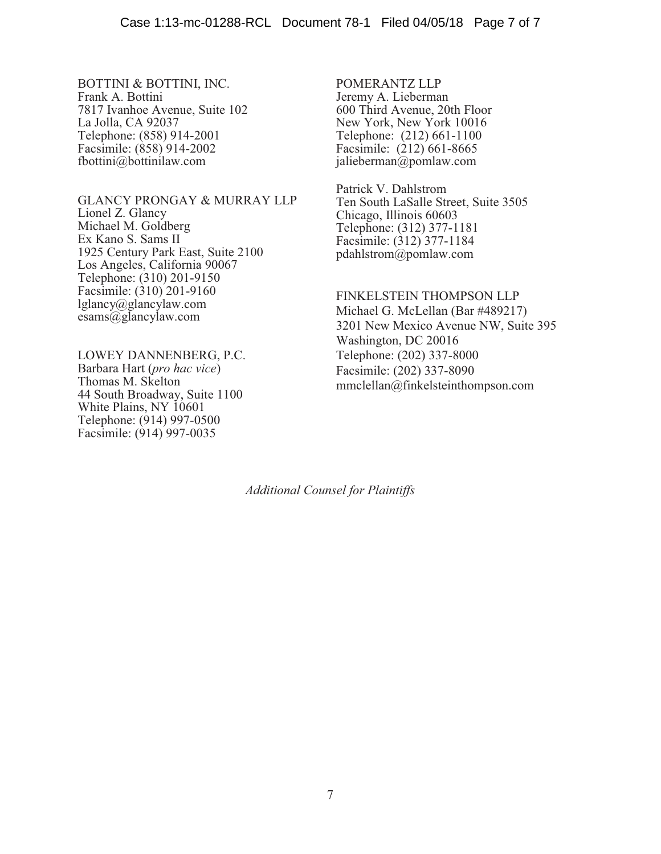BOTTINI & BOTTINI, INC. Frank A. Bottini 7817 Ivanhoe Avenue, Suite 102 La Jolla, CA 92037 Telephone: (858) 914-2001 Facsimile: (858) 914-2002 fbottini@bottinilaw.com

GLANCY PRONGAY & MURRAY LLP Lionel Z. Glancy Michael M. Goldberg Ex Kano S. Sams II 1925 Century Park East, Suite 2100 Los Angeles, California 90067 Telephone: (310) 201-9150 Facsimile: (310) 201-9160 lglancy@glancylaw.com esams@glancylaw.com

LOWEY DANNENBERG, P.C. Barbara Hart (*pro hac vice*) Thomas M. Skelton 44 South Broadway, Suite 1100 White Plains, NY 10601 Telephone: (914) 997-0500 Facsimile: (914) 997-0035

POMERANTZ LLP Jeremy A. Lieberman 600 Third Avenue, 20th Floor New York, New York 10016 Telephone: (212) 661-1100 Facsimile: (212) 661-8665 jalieberman@pomlaw.com

Patrick V. Dahlstrom Ten South LaSalle Street, Suite 3505 Chicago, Illinois 60603 Telephone: (312) 377-1181 Facsimile: (312) 377-1184 pdahlstrom@pomlaw.com

FINKELSTEIN THOMPSON LLP Michael G. McLellan (Bar #489217) 3201 New Mexico Avenue NW, Suite 395 Washington, DC 20016 Telephone: (202) 337-8000 Facsimile: (202) 337-8090 mmclellan@finkelsteinthompson.com

*Additional Counsel for Plaintiffs*